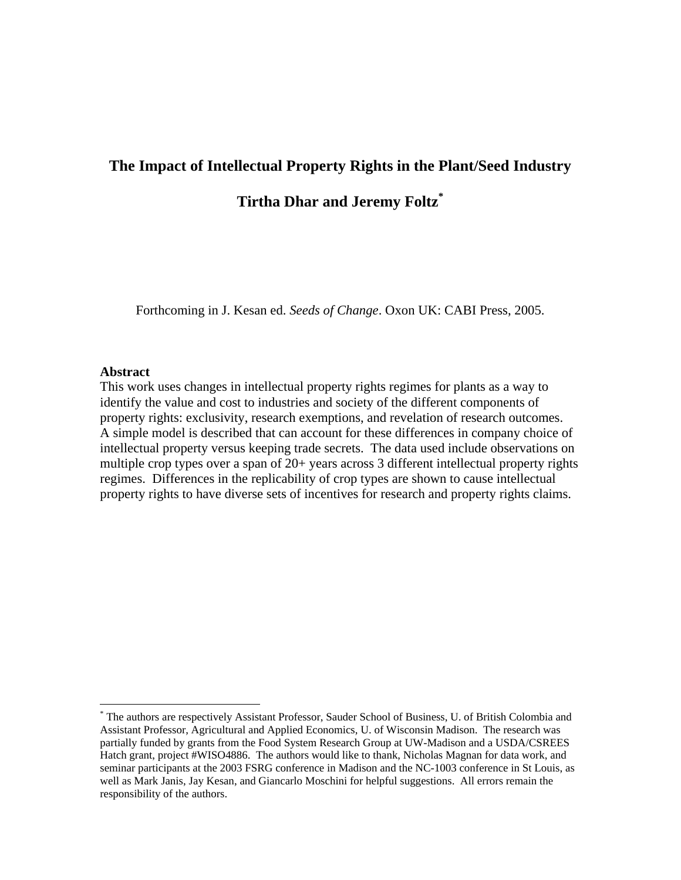# **The Impact of Intellectual Property Rights in the Plant/Seed Industry**

**Tirtha Dhar and Jeremy Foltz\***

Forthcoming in J. Kesan ed. *Seeds of Change*. Oxon UK: CABI Press, 2005.

#### **Abstract**

 $\overline{a}$ 

This work uses changes in intellectual property rights regimes for plants as a way to identify the value and cost to industries and society of the different components of property rights: exclusivity, research exemptions, and revelation of research outcomes. A simple model is described that can account for these differences in company choice of intellectual property versus keeping trade secrets. The data used include observations on multiple crop types over a span of 20+ years across 3 different intellectual property rights regimes. Differences in the replicability of crop types are shown to cause intellectual property rights to have diverse sets of incentives for research and property rights claims.

<sup>\*</sup> The authors are respectively Assistant Professor, Sauder School of Business, U. of British Colombia and Assistant Professor, Agricultural and Applied Economics, U. of Wisconsin Madison. The research was partially funded by grants from the Food System Research Group at UW-Madison and a USDA/CSREES Hatch grant, project #WISO4886. The authors would like to thank, Nicholas Magnan for data work, and seminar participants at the 2003 FSRG conference in Madison and the NC-1003 conference in St Louis, as well as Mark Janis, Jay Kesan, and Giancarlo Moschini for helpful suggestions. All errors remain the responsibility of the authors.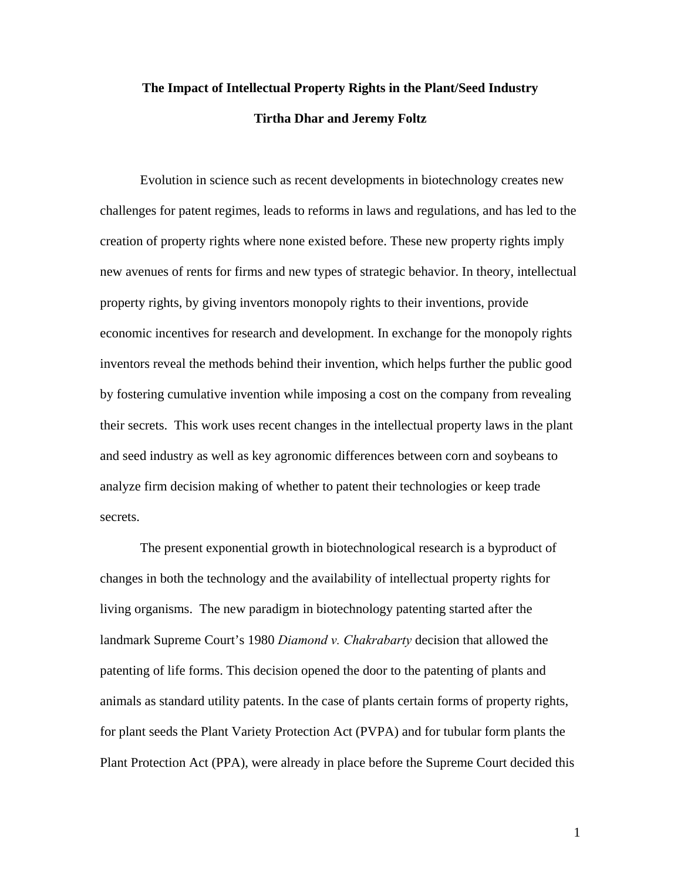# **The Impact of Intellectual Property Rights in the Plant/Seed Industry Tirtha Dhar and Jeremy Foltz**

Evolution in science such as recent developments in biotechnology creates new challenges for patent regimes, leads to reforms in laws and regulations, and has led to the creation of property rights where none existed before. These new property rights imply new avenues of rents for firms and new types of strategic behavior. In theory, intellectual property rights, by giving inventors monopoly rights to their inventions, provide economic incentives for research and development. In exchange for the monopoly rights inventors reveal the methods behind their invention, which helps further the public good by fostering cumulative invention while imposing a cost on the company from revealing their secrets. This work uses recent changes in the intellectual property laws in the plant and seed industry as well as key agronomic differences between corn and soybeans to analyze firm decision making of whether to patent their technologies or keep trade secrets.

The present exponential growth in biotechnological research is a byproduct of changes in both the technology and the availability of intellectual property rights for living organisms. The new paradigm in biotechnology patenting started after the landmark Supreme Court's 1980 *Diamond v. Chakrabarty* decision that allowed the patenting of life forms. This decision opened the door to the patenting of plants and animals as standard utility patents. In the case of plants certain forms of property rights, for plant seeds the Plant Variety Protection Act (PVPA) and for tubular form plants the Plant Protection Act (PPA), were already in place before the Supreme Court decided this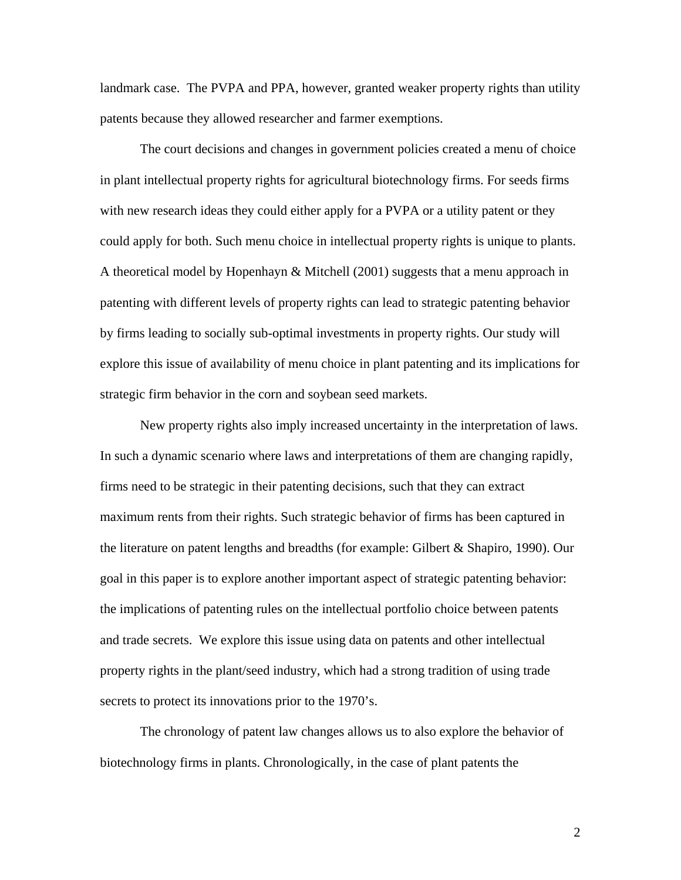landmark case. The PVPA and PPA, however, granted weaker property rights than utility patents because they allowed researcher and farmer exemptions.

The court decisions and changes in government policies created a menu of choice in plant intellectual property rights for agricultural biotechnology firms. For seeds firms with new research ideas they could either apply for a PVPA or a utility patent or they could apply for both. Such menu choice in intellectual property rights is unique to plants. A theoretical model by Hopenhayn & Mitchell (2001) suggests that a menu approach in patenting with different levels of property rights can lead to strategic patenting behavior by firms leading to socially sub-optimal investments in property rights. Our study will explore this issue of availability of menu choice in plant patenting and its implications for strategic firm behavior in the corn and soybean seed markets.

 New property rights also imply increased uncertainty in the interpretation of laws. In such a dynamic scenario where laws and interpretations of them are changing rapidly, firms need to be strategic in their patenting decisions, such that they can extract maximum rents from their rights. Such strategic behavior of firms has been captured in the literature on patent lengths and breadths (for example: Gilbert & Shapiro, 1990). Our goal in this paper is to explore another important aspect of strategic patenting behavior: the implications of patenting rules on the intellectual portfolio choice between patents and trade secrets. We explore this issue using data on patents and other intellectual property rights in the plant/seed industry, which had a strong tradition of using trade secrets to protect its innovations prior to the 1970's.

 The chronology of patent law changes allows us to also explore the behavior of biotechnology firms in plants. Chronologically, in the case of plant patents the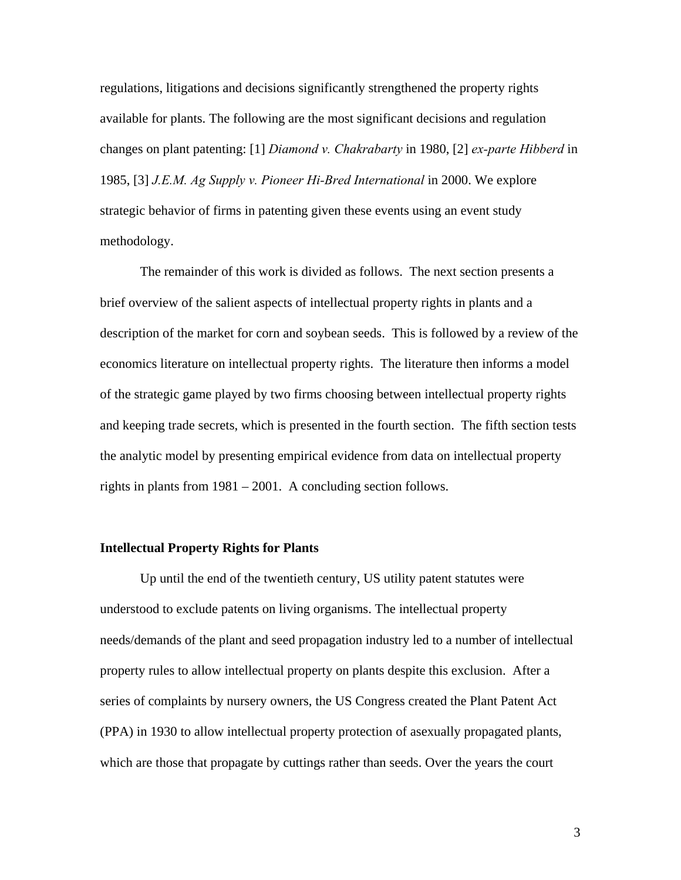regulations, litigations and decisions significantly strengthened the property rights available for plants. The following are the most significant decisions and regulation changes on plant patenting: [1] *Diamond v. Chakrabarty* in 1980, [2] *ex-parte Hibberd* in 1985, [3] *J.E.M. Ag Supply v. Pioneer Hi-Bred International* in 2000. We explore strategic behavior of firms in patenting given these events using an event study methodology.

 The remainder of this work is divided as follows. The next section presents a brief overview of the salient aspects of intellectual property rights in plants and a description of the market for corn and soybean seeds. This is followed by a review of the economics literature on intellectual property rights. The literature then informs a model of the strategic game played by two firms choosing between intellectual property rights and keeping trade secrets, which is presented in the fourth section. The fifth section tests the analytic model by presenting empirical evidence from data on intellectual property rights in plants from 1981 – 2001. A concluding section follows.

## **Intellectual Property Rights for Plants**

Up until the end of the twentieth century, US utility patent statutes were understood to exclude patents on living organisms. The intellectual property needs/demands of the plant and seed propagation industry led to a number of intellectual property rules to allow intellectual property on plants despite this exclusion. After a series of complaints by nursery owners, the US Congress created the Plant Patent Act (PPA) in 1930 to allow intellectual property protection of asexually propagated plants, which are those that propagate by cuttings rather than seeds. Over the years the court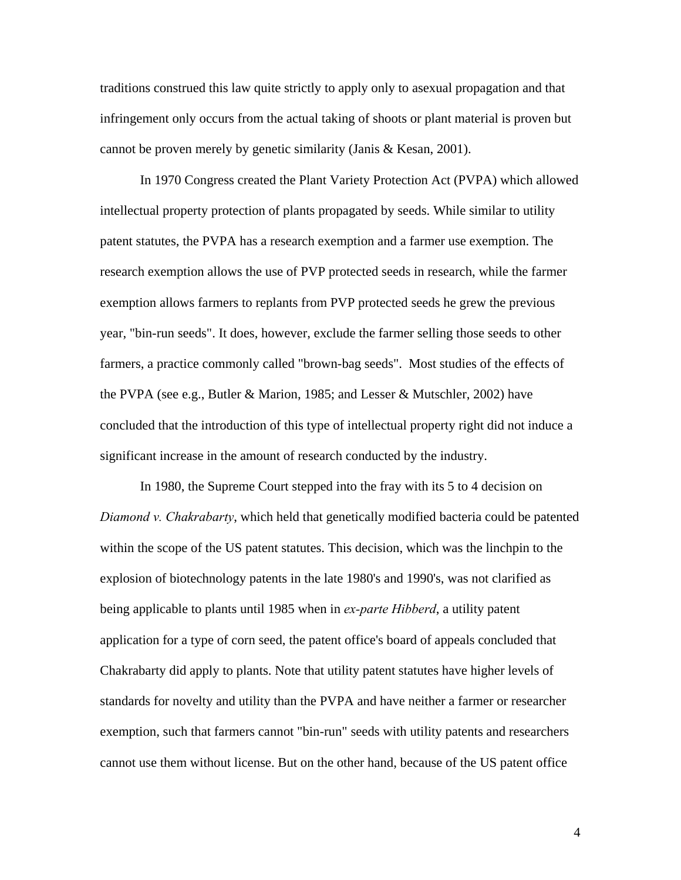traditions construed this law quite strictly to apply only to asexual propagation and that infringement only occurs from the actual taking of shoots or plant material is proven but cannot be proven merely by genetic similarity (Janis & Kesan, 2001).

In 1970 Congress created the Plant Variety Protection Act (PVPA) which allowed intellectual property protection of plants propagated by seeds. While similar to utility patent statutes, the PVPA has a research exemption and a farmer use exemption. The research exemption allows the use of PVP protected seeds in research, while the farmer exemption allows farmers to replants from PVP protected seeds he grew the previous year, "bin-run seeds". It does, however, exclude the farmer selling those seeds to other farmers, a practice commonly called "brown-bag seeds". Most studies of the effects of the PVPA (see e.g., Butler & Marion, 1985; and Lesser & Mutschler, 2002) have concluded that the introduction of this type of intellectual property right did not induce a significant increase in the amount of research conducted by the industry.

In 1980, the Supreme Court stepped into the fray with its 5 to 4 decision on *Diamond v. Chakrabarty*, which held that genetically modified bacteria could be patented within the scope of the US patent statutes. This decision, which was the linchpin to the explosion of biotechnology patents in the late 1980's and 1990's, was not clarified as being applicable to plants until 1985 when in *ex-parte Hibberd*, a utility patent application for a type of corn seed, the patent office's board of appeals concluded that Chakrabarty did apply to plants. Note that utility patent statutes have higher levels of standards for novelty and utility than the PVPA and have neither a farmer or researcher exemption, such that farmers cannot "bin-run" seeds with utility patents and researchers cannot use them without license. But on the other hand, because of the US patent office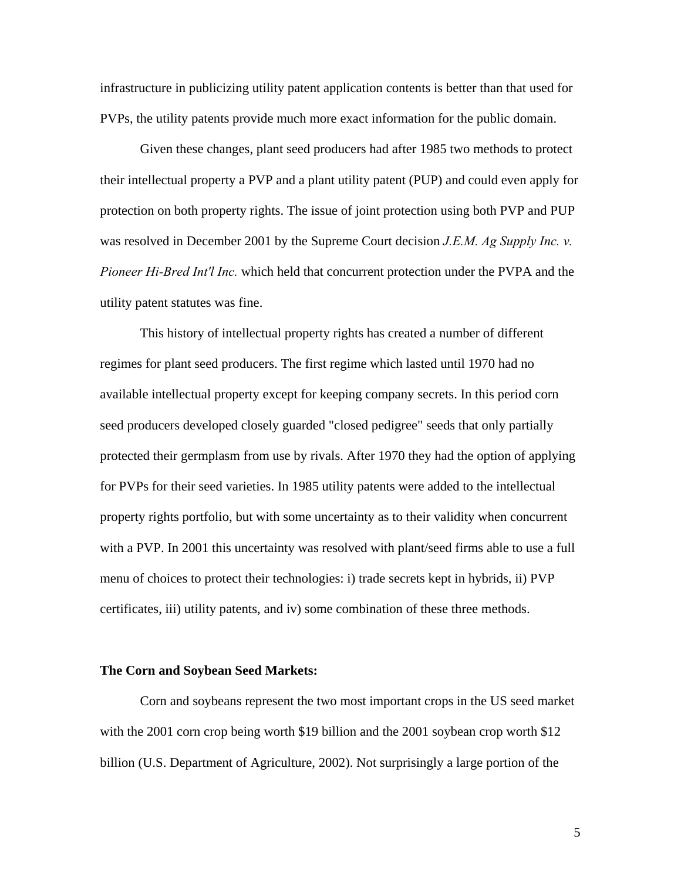infrastructure in publicizing utility patent application contents is better than that used for PVPs, the utility patents provide much more exact information for the public domain.

Given these changes, plant seed producers had after 1985 two methods to protect their intellectual property a PVP and a plant utility patent (PUP) and could even apply for protection on both property rights. The issue of joint protection using both PVP and PUP was resolved in December 2001 by the Supreme Court decision *J.E.M. Ag Supply Inc. v. Pioneer Hi-Bred Int'l Inc.* which held that concurrent protection under the PVPA and the utility patent statutes was fine.

This history of intellectual property rights has created a number of different regimes for plant seed producers. The first regime which lasted until 1970 had no available intellectual property except for keeping company secrets. In this period corn seed producers developed closely guarded "closed pedigree" seeds that only partially protected their germplasm from use by rivals. After 1970 they had the option of applying for PVPs for their seed varieties. In 1985 utility patents were added to the intellectual property rights portfolio, but with some uncertainty as to their validity when concurrent with a PVP. In 2001 this uncertainty was resolved with plant/seed firms able to use a full menu of choices to protect their technologies: i) trade secrets kept in hybrids, ii) PVP certificates, iii) utility patents, and iv) some combination of these three methods.

#### **The Corn and Soybean Seed Markets:**

Corn and soybeans represent the two most important crops in the US seed market with the 2001 corn crop being worth \$19 billion and the 2001 soybean crop worth \$12 billion (U.S. Department of Agriculture, 2002). Not surprisingly a large portion of the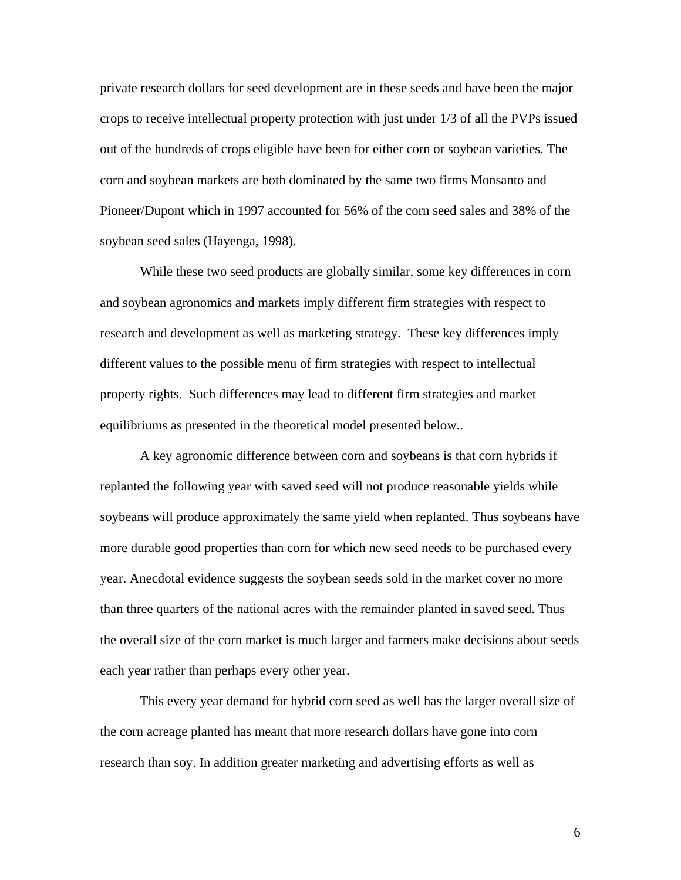private research dollars for seed development are in these seeds and have been the major crops to receive intellectual property protection with just under 1/3 of all the PVPs issued out of the hundreds of crops eligible have been for either corn or soybean varieties. The corn and soybean markets are both dominated by the same two firms Monsanto and Pioneer/Dupont which in 1997 accounted for 56% of the corn seed sales and 38% of the soybean seed sales (Hayenga, 1998).

 While these two seed products are globally similar, some key differences in corn and soybean agronomics and markets imply different firm strategies with respect to research and development as well as marketing strategy. These key differences imply different values to the possible menu of firm strategies with respect to intellectual property rights. Such differences may lead to different firm strategies and market equilibriums as presented in the theoretical model presented below..

A key agronomic difference between corn and soybeans is that corn hybrids if replanted the following year with saved seed will not produce reasonable yields while soybeans will produce approximately the same yield when replanted. Thus soybeans have more durable good properties than corn for which new seed needs to be purchased every year. Anecdotal evidence suggests the soybean seeds sold in the market cover no more than three quarters of the national acres with the remainder planted in saved seed. Thus the overall size of the corn market is much larger and farmers make decisions about seeds each year rather than perhaps every other year.

This every year demand for hybrid corn seed as well has the larger overall size of the corn acreage planted has meant that more research dollars have gone into corn research than soy. In addition greater marketing and advertising efforts as well as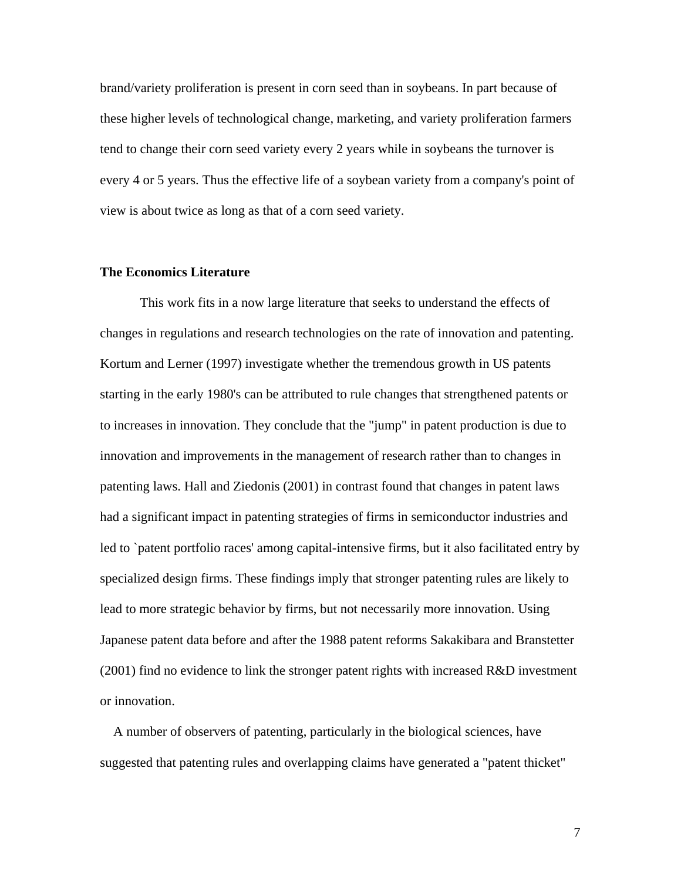brand/variety proliferation is present in corn seed than in soybeans. In part because of these higher levels of technological change, marketing, and variety proliferation farmers tend to change their corn seed variety every 2 years while in soybeans the turnover is every 4 or 5 years. Thus the effective life of a soybean variety from a company's point of view is about twice as long as that of a corn seed variety.

## **The Economics Literature**

 This work fits in a now large literature that seeks to understand the effects of changes in regulations and research technologies on the rate of innovation and patenting. Kortum and Lerner (1997) investigate whether the tremendous growth in US patents starting in the early 1980's can be attributed to rule changes that strengthened patents or to increases in innovation. They conclude that the "jump" in patent production is due to innovation and improvements in the management of research rather than to changes in patenting laws. Hall and Ziedonis (2001) in contrast found that changes in patent laws had a significant impact in patenting strategies of firms in semiconductor industries and led to `patent portfolio races' among capital-intensive firms, but it also facilitated entry by specialized design firms. These findings imply that stronger patenting rules are likely to lead to more strategic behavior by firms, but not necessarily more innovation. Using Japanese patent data before and after the 1988 patent reforms Sakakibara and Branstetter  $(2001)$  find no evidence to link the stronger patent rights with increased R&D investment or innovation.

 A number of observers of patenting, particularly in the biological sciences, have suggested that patenting rules and overlapping claims have generated a "patent thicket"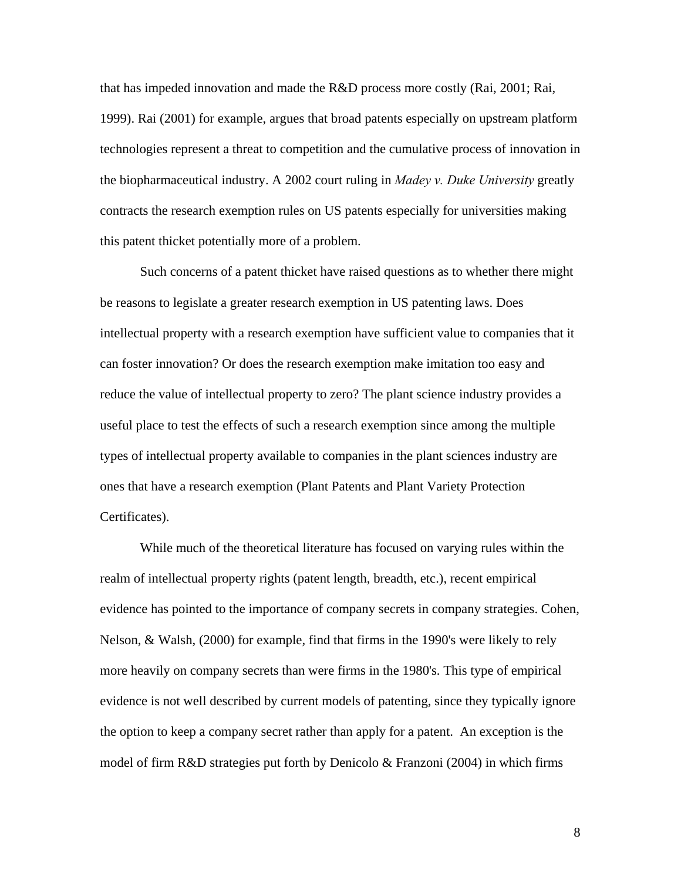that has impeded innovation and made the R&D process more costly (Rai, 2001; Rai, 1999). Rai (2001) for example, argues that broad patents especially on upstream platform technologies represent a threat to competition and the cumulative process of innovation in the biopharmaceutical industry. A 2002 court ruling in *Madey v. Duke University* greatly contracts the research exemption rules on US patents especially for universities making this patent thicket potentially more of a problem.

Such concerns of a patent thicket have raised questions as to whether there might be reasons to legislate a greater research exemption in US patenting laws. Does intellectual property with a research exemption have sufficient value to companies that it can foster innovation? Or does the research exemption make imitation too easy and reduce the value of intellectual property to zero? The plant science industry provides a useful place to test the effects of such a research exemption since among the multiple types of intellectual property available to companies in the plant sciences industry are ones that have a research exemption (Plant Patents and Plant Variety Protection Certificates).

While much of the theoretical literature has focused on varying rules within the realm of intellectual property rights (patent length, breadth, etc.), recent empirical evidence has pointed to the importance of company secrets in company strategies. Cohen, Nelson, & Walsh, (2000) for example, find that firms in the 1990's were likely to rely more heavily on company secrets than were firms in the 1980's. This type of empirical evidence is not well described by current models of patenting, since they typically ignore the option to keep a company secret rather than apply for a patent. An exception is the model of firm  $R&D$  strategies put forth by Denicolo  $&$  Franzoni (2004) in which firms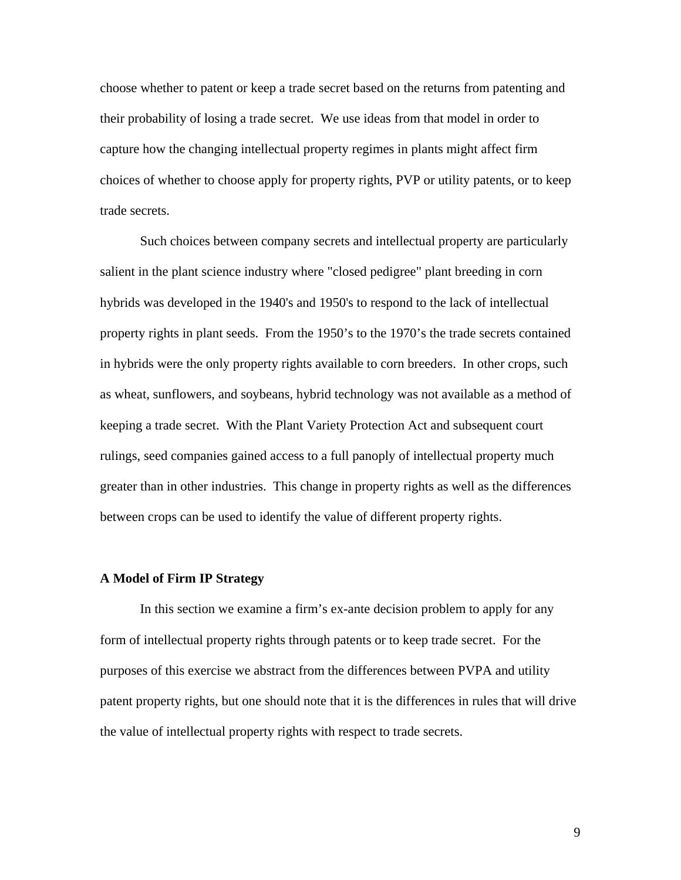choose whether to patent or keep a trade secret based on the returns from patenting and their probability of losing a trade secret. We use ideas from that model in order to capture how the changing intellectual property regimes in plants might affect firm choices of whether to choose apply for property rights, PVP or utility patents, or to keep trade secrets.

Such choices between company secrets and intellectual property are particularly salient in the plant science industry where "closed pedigree" plant breeding in corn hybrids was developed in the 1940's and 1950's to respond to the lack of intellectual property rights in plant seeds. From the 1950's to the 1970's the trade secrets contained in hybrids were the only property rights available to corn breeders. In other crops, such as wheat, sunflowers, and soybeans, hybrid technology was not available as a method of keeping a trade secret. With the Plant Variety Protection Act and subsequent court rulings, seed companies gained access to a full panoply of intellectual property much greater than in other industries. This change in property rights as well as the differences between crops can be used to identify the value of different property rights.

## **A Model of Firm IP Strategy**

In this section we examine a firm's ex-ante decision problem to apply for any form of intellectual property rights through patents or to keep trade secret. For the purposes of this exercise we abstract from the differences between PVPA and utility patent property rights, but one should note that it is the differences in rules that will drive the value of intellectual property rights with respect to trade secrets.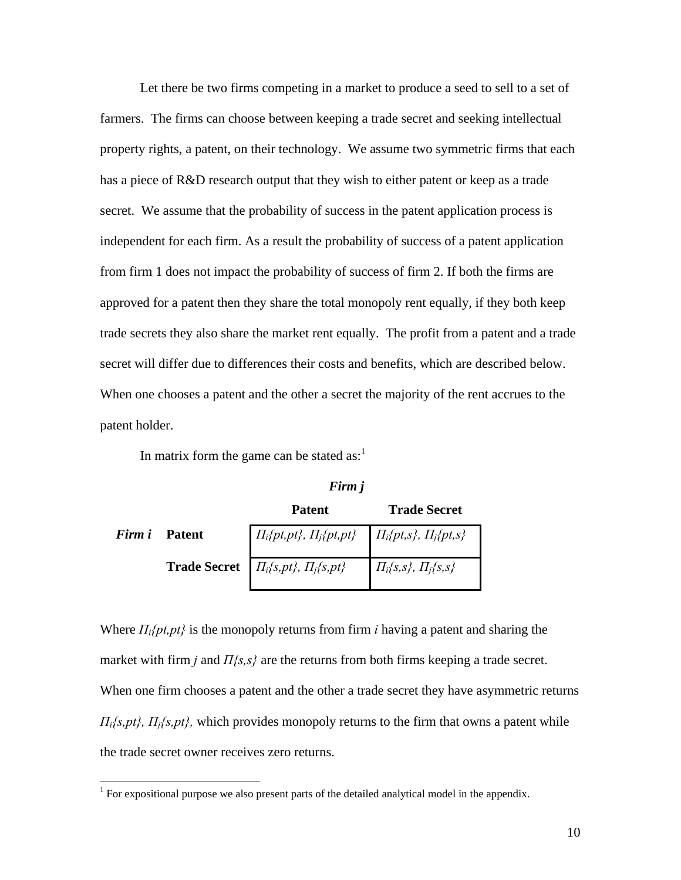Let there be two firms competing in a market to produce a seed to sell to a set of farmers. The firms can choose between keeping a trade secret and seeking intellectual property rights, a patent, on their technology. We assume two symmetric firms that each has a piece of R&D research output that they wish to either patent or keep as a trade secret. We assume that the probability of success in the patent application process is independent for each firm. As a result the probability of success of a patent application from firm 1 does not impact the probability of success of firm 2. If both the firms are approved for a patent then they share the total monopoly rent equally, if they both keep trade secrets they also share the market rent equally. The profit from a patent and a trade secret will differ due to differences their costs and benefits, which are described below. When one chooses a patent and the other a secret the majority of the rent accrues to the patent holder.

In matrix form the game can be stated as: $<sup>1</sup>$ </sup>

 $\overline{a}$ 

*Firm j*

|               | <b>Patent</b>                                                     | <b>Trade Secret</b>         |
|---------------|-------------------------------------------------------------------|-----------------------------|
| Firm i Patent | $\Pi_i\{pt,pt\},\Pi_j\{pt,pt\}\qquad \Pi_i\{pt,s\},\Pi_j\{pt,s\}$ |                             |
|               | <b>Trade Secret</b> $\Pi_i\{s, pt\}$ , $\Pi_j\{s, pt\}$           | $\Pi_i\{s,s\},\Pi_j\{s,s\}$ |

Where *Πi{pt,pt}* is the monopoly returns from firm *i* having a patent and sharing the market with firm *j* and *Π{s,s}* are the returns from both firms keeping a trade secret. When one firm chooses a patent and the other a trade secret they have asymmetric returns *Πi{s,pt}, Πj{s,pt},* which provides monopoly returns to the firm that owns a patent while the trade secret owner receives zero returns.

<sup>&</sup>lt;sup>1</sup> For expositional purpose we also present parts of the detailed analytical model in the appendix.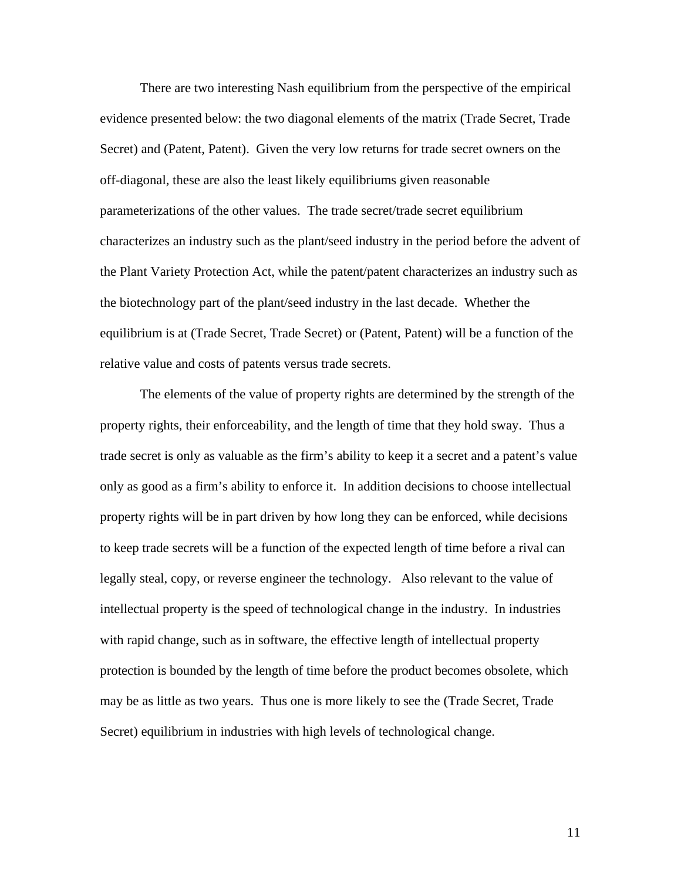There are two interesting Nash equilibrium from the perspective of the empirical evidence presented below: the two diagonal elements of the matrix (Trade Secret, Trade Secret) and (Patent, Patent). Given the very low returns for trade secret owners on the off-diagonal, these are also the least likely equilibriums given reasonable parameterizations of the other values. The trade secret/trade secret equilibrium characterizes an industry such as the plant/seed industry in the period before the advent of the Plant Variety Protection Act, while the patent/patent characterizes an industry such as the biotechnology part of the plant/seed industry in the last decade. Whether the equilibrium is at (Trade Secret, Trade Secret) or (Patent, Patent) will be a function of the relative value and costs of patents versus trade secrets.

The elements of the value of property rights are determined by the strength of the property rights, their enforceability, and the length of time that they hold sway. Thus a trade secret is only as valuable as the firm's ability to keep it a secret and a patent's value only as good as a firm's ability to enforce it. In addition decisions to choose intellectual property rights will be in part driven by how long they can be enforced, while decisions to keep trade secrets will be a function of the expected length of time before a rival can legally steal, copy, or reverse engineer the technology. Also relevant to the value of intellectual property is the speed of technological change in the industry. In industries with rapid change, such as in software, the effective length of intellectual property protection is bounded by the length of time before the product becomes obsolete, which may be as little as two years. Thus one is more likely to see the (Trade Secret, Trade Secret) equilibrium in industries with high levels of technological change.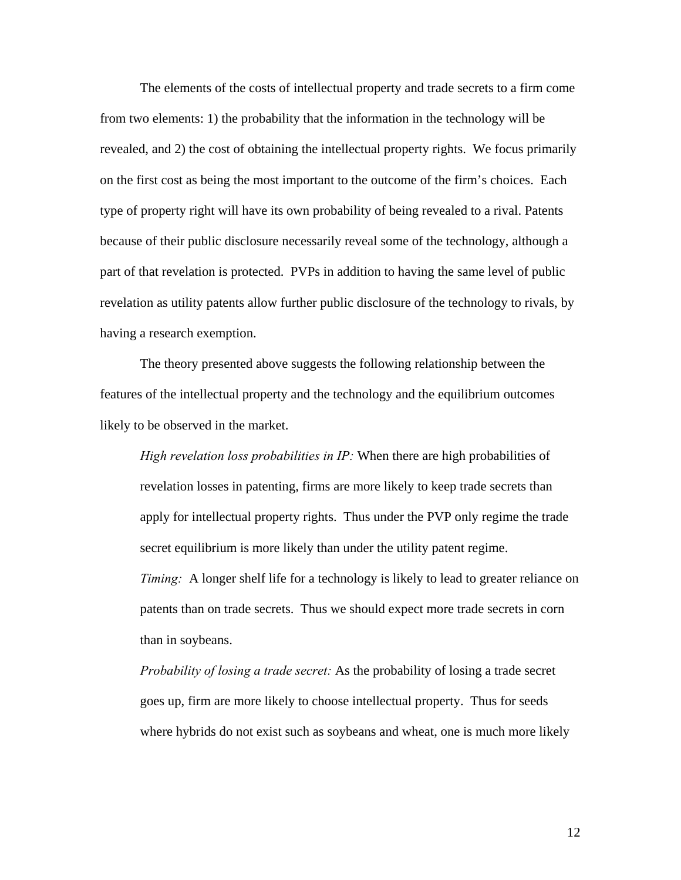The elements of the costs of intellectual property and trade secrets to a firm come from two elements: 1) the probability that the information in the technology will be revealed, and 2) the cost of obtaining the intellectual property rights. We focus primarily on the first cost as being the most important to the outcome of the firm's choices. Each type of property right will have its own probability of being revealed to a rival. Patents because of their public disclosure necessarily reveal some of the technology, although a part of that revelation is protected. PVPs in addition to having the same level of public revelation as utility patents allow further public disclosure of the technology to rivals, by having a research exemption.

The theory presented above suggests the following relationship between the features of the intellectual property and the technology and the equilibrium outcomes likely to be observed in the market.

*High revelation loss probabilities in IP:* When there are high probabilities of revelation losses in patenting, firms are more likely to keep trade secrets than apply for intellectual property rights. Thus under the PVP only regime the trade secret equilibrium is more likely than under the utility patent regime. *Timing:* A longer shelf life for a technology is likely to lead to greater reliance on patents than on trade secrets. Thus we should expect more trade secrets in corn than in soybeans.

*Probability of losing a trade secret:* As the probability of losing a trade secret goes up, firm are more likely to choose intellectual property. Thus for seeds where hybrids do not exist such as soybeans and wheat, one is much more likely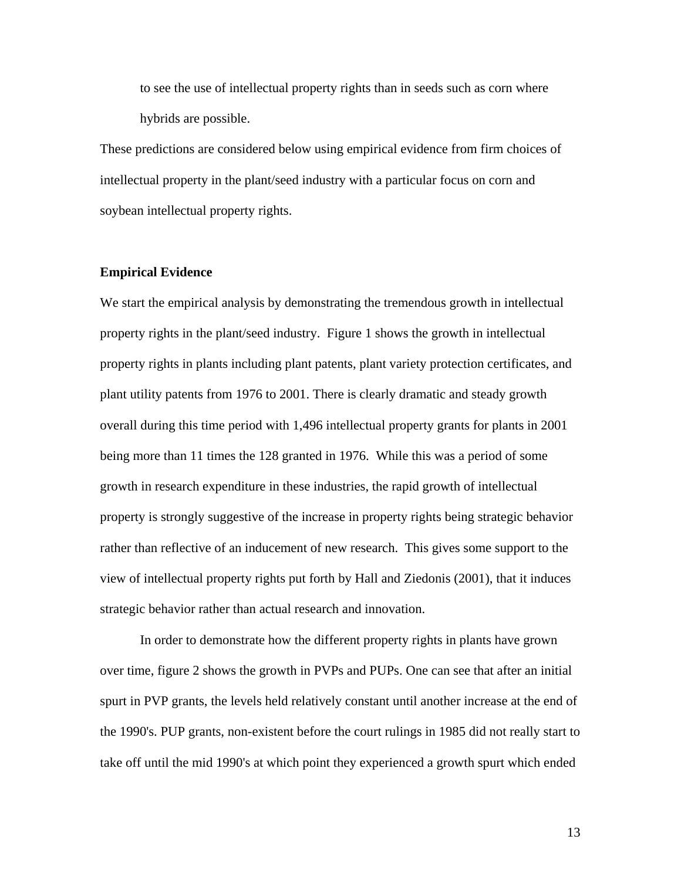to see the use of intellectual property rights than in seeds such as corn where hybrids are possible.

These predictions are considered below using empirical evidence from firm choices of intellectual property in the plant/seed industry with a particular focus on corn and soybean intellectual property rights.

## **Empirical Evidence**

We start the empirical analysis by demonstrating the tremendous growth in intellectual property rights in the plant/seed industry. Figure 1 shows the growth in intellectual property rights in plants including plant patents, plant variety protection certificates, and plant utility patents from 1976 to 2001. There is clearly dramatic and steady growth overall during this time period with 1,496 intellectual property grants for plants in 2001 being more than 11 times the 128 granted in 1976. While this was a period of some growth in research expenditure in these industries, the rapid growth of intellectual property is strongly suggestive of the increase in property rights being strategic behavior rather than reflective of an inducement of new research. This gives some support to the view of intellectual property rights put forth by Hall and Ziedonis (2001), that it induces strategic behavior rather than actual research and innovation.

 In order to demonstrate how the different property rights in plants have grown over time, figure 2 shows the growth in PVPs and PUPs. One can see that after an initial spurt in PVP grants, the levels held relatively constant until another increase at the end of the 1990's. PUP grants, non-existent before the court rulings in 1985 did not really start to take off until the mid 1990's at which point they experienced a growth spurt which ended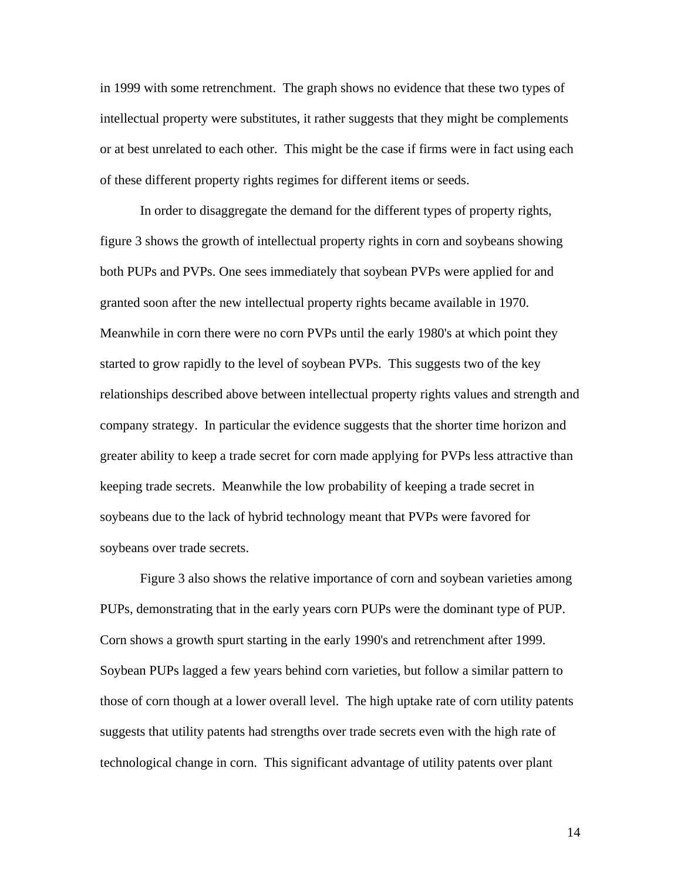in 1999 with some retrenchment. The graph shows no evidence that these two types of intellectual property were substitutes, it rather suggests that they might be complements or at best unrelated to each other. This might be the case if firms were in fact using each of these different property rights regimes for different items or seeds.

 In order to disaggregate the demand for the different types of property rights, figure 3 shows the growth of intellectual property rights in corn and soybeans showing both PUPs and PVPs. One sees immediately that soybean PVPs were applied for and granted soon after the new intellectual property rights became available in 1970. Meanwhile in corn there were no corn PVPs until the early 1980's at which point they started to grow rapidly to the level of soybean PVPs. This suggests two of the key relationships described above between intellectual property rights values and strength and company strategy. In particular the evidence suggests that the shorter time horizon and greater ability to keep a trade secret for corn made applying for PVPs less attractive than keeping trade secrets. Meanwhile the low probability of keeping a trade secret in soybeans due to the lack of hybrid technology meant that PVPs were favored for soybeans over trade secrets.

Figure 3 also shows the relative importance of corn and soybean varieties among PUPs, demonstrating that in the early years corn PUPs were the dominant type of PUP. Corn shows a growth spurt starting in the early 1990's and retrenchment after 1999. Soybean PUPs lagged a few years behind corn varieties, but follow a similar pattern to those of corn though at a lower overall level. The high uptake rate of corn utility patents suggests that utility patents had strengths over trade secrets even with the high rate of technological change in corn. This significant advantage of utility patents over plant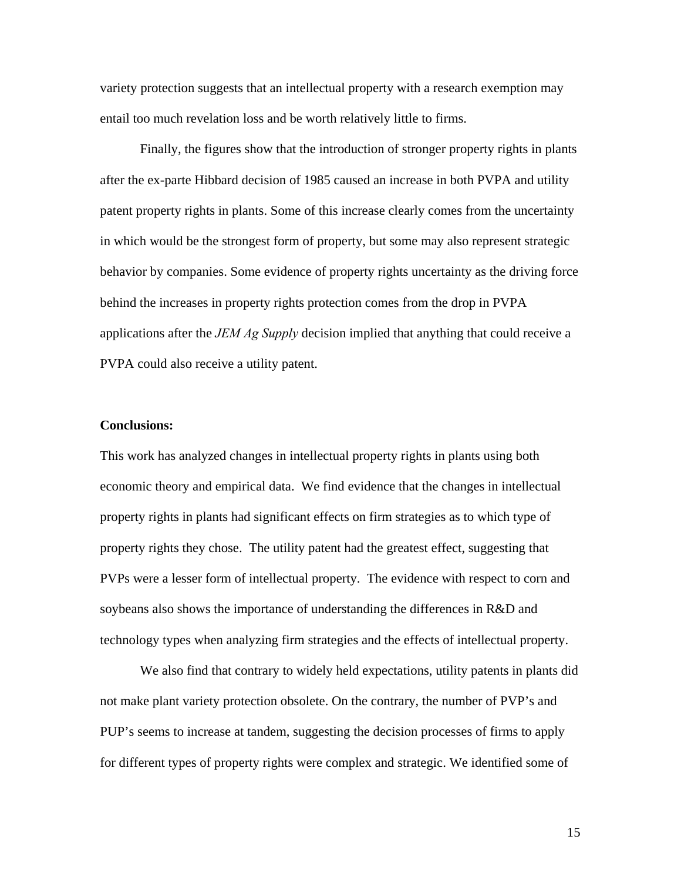variety protection suggests that an intellectual property with a research exemption may entail too much revelation loss and be worth relatively little to firms.

 Finally, the figures show that the introduction of stronger property rights in plants after the ex-parte Hibbard decision of 1985 caused an increase in both PVPA and utility patent property rights in plants. Some of this increase clearly comes from the uncertainty in which would be the strongest form of property, but some may also represent strategic behavior by companies. Some evidence of property rights uncertainty as the driving force behind the increases in property rights protection comes from the drop in PVPA applications after the *JEM Ag Supply* decision implied that anything that could receive a PVPA could also receive a utility patent.

## **Conclusions:**

This work has analyzed changes in intellectual property rights in plants using both economic theory and empirical data. We find evidence that the changes in intellectual property rights in plants had significant effects on firm strategies as to which type of property rights they chose. The utility patent had the greatest effect, suggesting that PVPs were a lesser form of intellectual property. The evidence with respect to corn and soybeans also shows the importance of understanding the differences in R&D and technology types when analyzing firm strategies and the effects of intellectual property.

We also find that contrary to widely held expectations, utility patents in plants did not make plant variety protection obsolete. On the contrary, the number of PVP's and PUP's seems to increase at tandem, suggesting the decision processes of firms to apply for different types of property rights were complex and strategic. We identified some of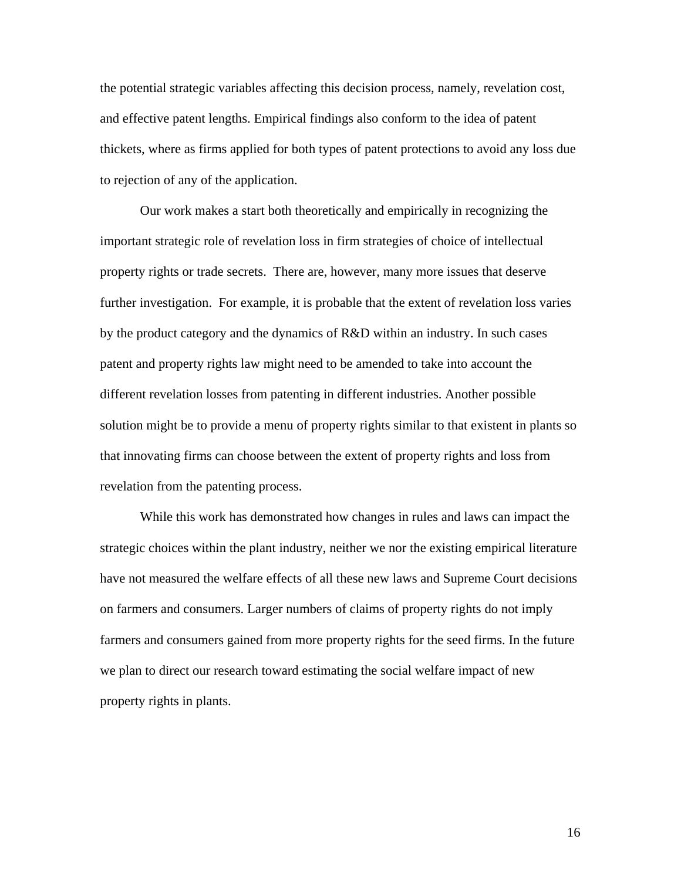the potential strategic variables affecting this decision process, namely, revelation cost, and effective patent lengths. Empirical findings also conform to the idea of patent thickets, where as firms applied for both types of patent protections to avoid any loss due to rejection of any of the application.

Our work makes a start both theoretically and empirically in recognizing the important strategic role of revelation loss in firm strategies of choice of intellectual property rights or trade secrets. There are, however, many more issues that deserve further investigation. For example, it is probable that the extent of revelation loss varies by the product category and the dynamics of R&D within an industry. In such cases patent and property rights law might need to be amended to take into account the different revelation losses from patenting in different industries. Another possible solution might be to provide a menu of property rights similar to that existent in plants so that innovating firms can choose between the extent of property rights and loss from revelation from the patenting process.

While this work has demonstrated how changes in rules and laws can impact the strategic choices within the plant industry, neither we nor the existing empirical literature have not measured the welfare effects of all these new laws and Supreme Court decisions on farmers and consumers. Larger numbers of claims of property rights do not imply farmers and consumers gained from more property rights for the seed firms. In the future we plan to direct our research toward estimating the social welfare impact of new property rights in plants.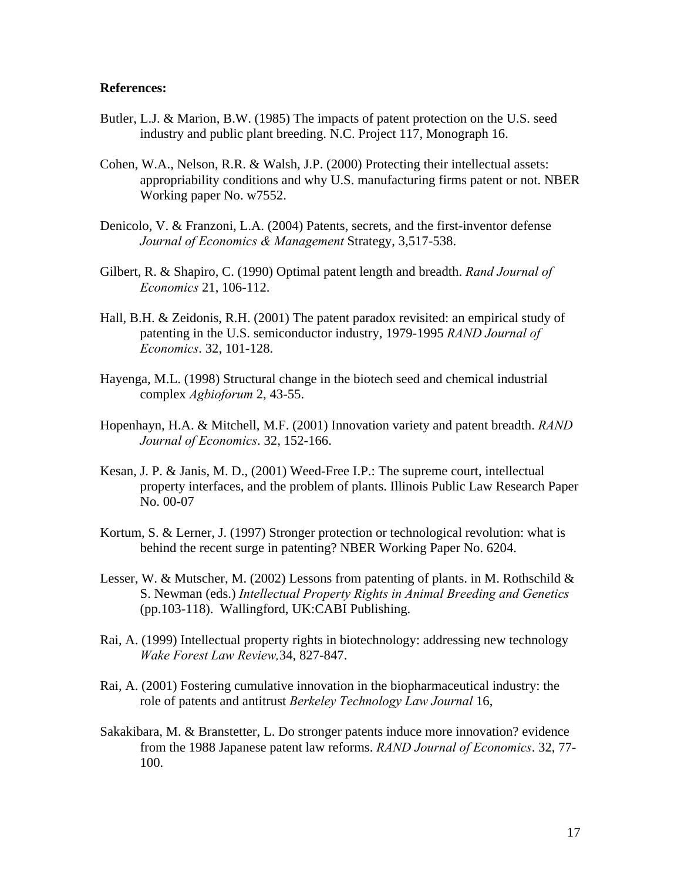## **References:**

- Butler, L.J. & Marion, B.W. (1985) The impacts of patent protection on the U.S. seed industry and public plant breeding. N.C. Project 117, Monograph 16.
- Cohen, W.A., Nelson, R.R. & Walsh, J.P. (2000) Protecting their intellectual assets: appropriability conditions and why U.S. manufacturing firms patent or not. NBER Working paper No. w7552.
- Denicolo, V. & Franzoni, L.A. (2004) Patents, secrets, and the first-inventor defense *Journal of Economics & Management* Strategy, 3,517-538.
- Gilbert, R. & Shapiro, C. (1990) Optimal patent length and breadth. *Rand Journal of Economics* 21, 106-112.
- Hall, B.H. & Zeidonis, R.H. (2001) The patent paradox revisited: an empirical study of patenting in the U.S. semiconductor industry, 1979-1995 *RAND Journal of Economics*. 32, 101-128.
- Hayenga, M.L. (1998) Structural change in the biotech seed and chemical industrial complex *Agbioforum* 2, 43-55.
- Hopenhayn, H.A. & Mitchell, M.F. (2001) Innovation variety and patent breadth. *RAND Journal of Economics*. 32, 152-166.
- Kesan, J. P. & Janis, M. D., (2001) Weed-Free I.P.: The supreme court, intellectual property interfaces, and the problem of plants. Illinois Public Law Research Paper No. 00-07
- Kortum, S. & Lerner, J. (1997) Stronger protection or technological revolution: what is behind the recent surge in patenting? NBER Working Paper No. 6204.
- Lesser, W. & Mutscher, M. (2002) Lessons from patenting of plants. in M. Rothschild  $\&$ S. Newman (eds.) *Intellectual Property Rights in Animal Breeding and Genetics* (pp.103-118). Wallingford, UK:CABI Publishing.
- Rai, A. (1999) Intellectual property rights in biotechnology: addressing new technology *Wake Forest Law Review,*34, 827-847.
- Rai, A. (2001) Fostering cumulative innovation in the biopharmaceutical industry: the role of patents and antitrust *Berkeley Technology Law Journal* 16,
- Sakakibara, M. & Branstetter, L. Do stronger patents induce more innovation? evidence from the 1988 Japanese patent law reforms. *RAND Journal of Economics*. 32, 77- 100.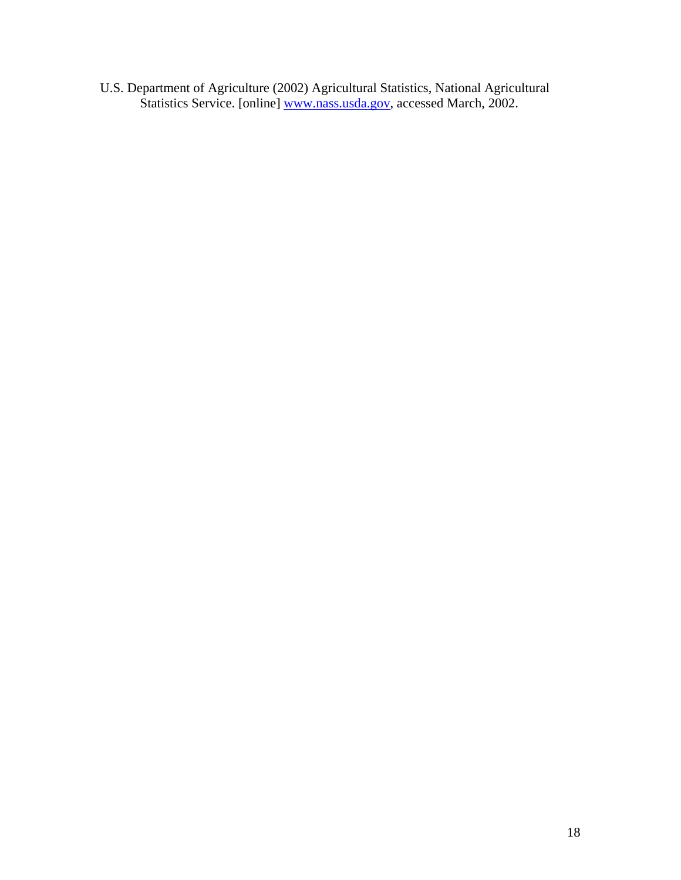U.S. Department of Agriculture (2002) Agricultural Statistics, National Agricultural Statistics Service. [online] www.nass.usda.gov, accessed March, 2002.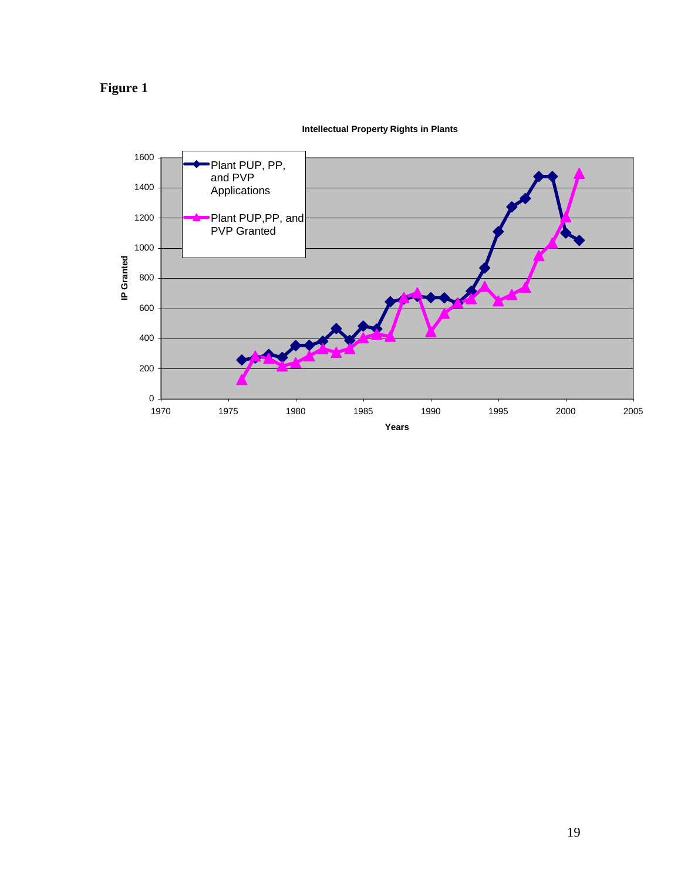



**Intellectual Property Rights in Plants**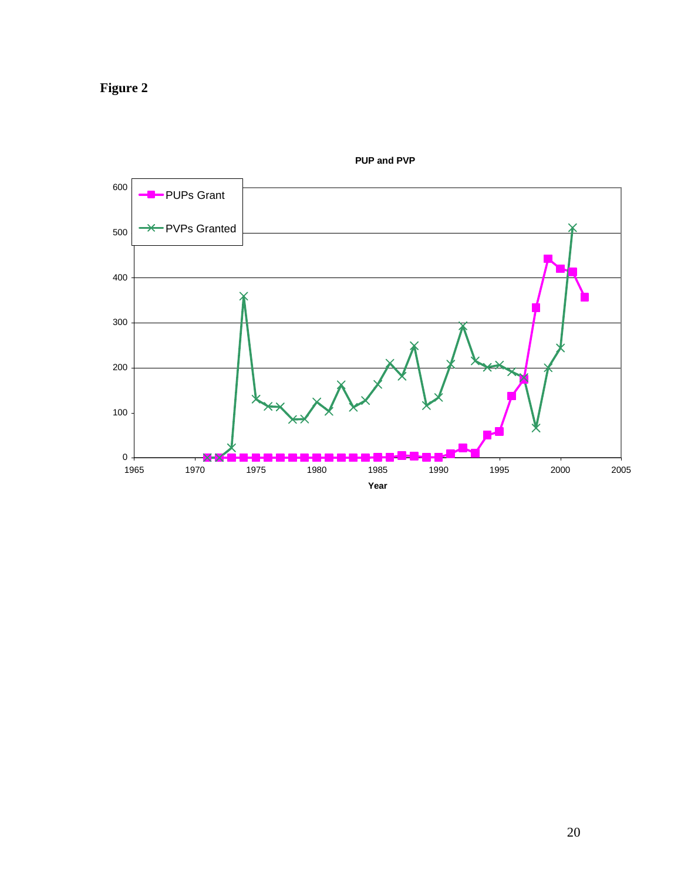**Figure 2** 



**PUP and PVP**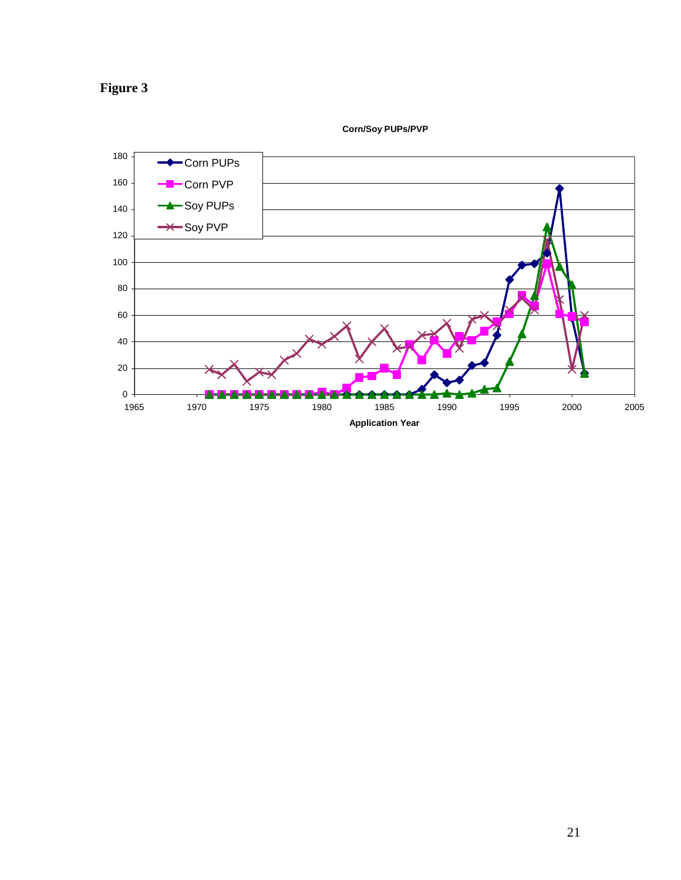



**Corn/Soy PUPs/PVP**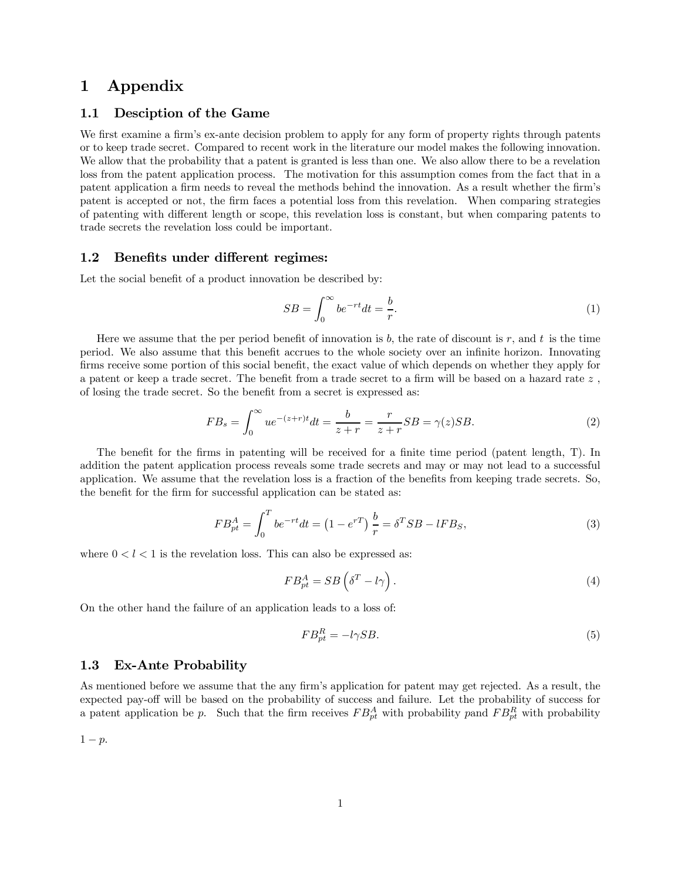## 1 Appendix

#### 1.1 Desciption of the Game

We first examine a firm's ex-ante decision problem to apply for any form of property rights through patents or to keep trade secret. Compared to recent work in the literature our model makes the following innovation. We allow that the probability that a patent is granted is less than one. We also allow there to be a revelation loss from the patent application process. The motivation for this assumption comes from the fact that in a patent application a firm needs to reveal the methods behind the innovation. As a result whether the firm's patent is accepted or not, the firm faces a potential loss from this revelation. When comparing strategies of patenting with different length or scope, this revelation loss is constant, but when comparing patents to trade secrets the revelation loss could be important.

#### 1.2 Benefits under different regimes:

Let the social benefit of a product innovation be described by:

$$
SB = \int_0^\infty be^{-rt}dt = \frac{b}{r}.\tag{1}
$$

Here we assume that the per period benefit of innovation is b, the rate of discount is r, and t is the time period. We also assume that this benefit accrues to the whole society over an infinite horizon. Innovating firms receive some portion of this social benefit, the exact value of which depends on whether they apply for a patent or keep a trade secret. The benefit from a trade secret to a firm will be based on a hazard rate z , of losing the trade secret. So the benefit from a secret is expressed as:

$$
FB_s = \int_0^\infty ue^{-(z+r)t}dt = \frac{b}{z+r} = \frac{r}{z+r}SB = \gamma(z)SB.
$$
 (2)

The benefit for the firms in patenting will be received for a finite time period (patent length, T). In addition the patent application process reveals some trade secrets and may or may not lead to a successful application. We assume that the revelation loss is a fraction of the benefits from keeping trade secrets. So, the benefit for the firm for successful application can be stated as:

$$
FB_{pt}^A = \int_0^T be^{-rt}dt = (1 - e^{rT})\frac{b}{r} = \delta^T SB - lFB_S,
$$
\n(3)

where  $0 < l < 1$  is the revelation loss. This can also be expressed as:

$$
FB_{pt}^A = SB\left(\delta^T - l\gamma\right). \tag{4}
$$

On the other hand the failure of an application leads to a loss of:

$$
FB_{pt}^R = -l\gamma SB.\tag{5}
$$

#### 1.3 Ex-Ante Probability

As mentioned before we assume that the any firm's application for patent may get rejected. As a result, the expected pay-off will be based on the probability of success and failure. Let the probability of success for a patent application be p. Such that the firm receives  $FB_{pt}^A$  with probability pand  $FB_{pt}^R$  with probability

 $1 - p$ .